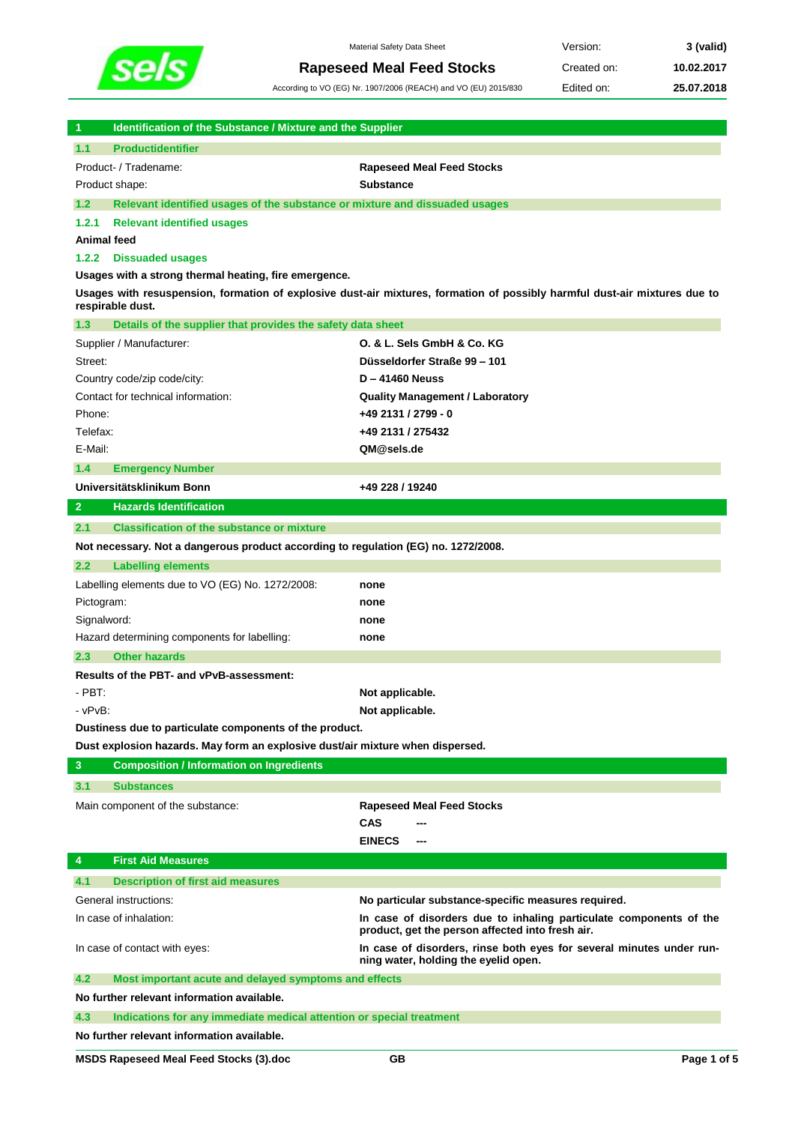

**Rapeseed Meal Feed Stocks** Created on: **10.02.2017**

Material Safety Data Sheet **Version: 3** (valid)

According to VO (EG) Nr. 1907/2006 (REACH) and VO (EU) 2015/830 Edited on: **25.07.2018**

| 1              | <b>Identification of the Substance / Mixture and the Supplier</b>                                                                              |                                                                                                                        |  |  |  |  |  |
|----------------|------------------------------------------------------------------------------------------------------------------------------------------------|------------------------------------------------------------------------------------------------------------------------|--|--|--|--|--|
| 1.1            | <b>Productidentifier</b>                                                                                                                       |                                                                                                                        |  |  |  |  |  |
|                | Product- / Tradename:                                                                                                                          | <b>Rapeseed Meal Feed Stocks</b>                                                                                       |  |  |  |  |  |
|                | Product shape:                                                                                                                                 | <b>Substance</b>                                                                                                       |  |  |  |  |  |
| $1.2$          | Relevant identified usages of the substance or mixture and dissuaded usages                                                                    |                                                                                                                        |  |  |  |  |  |
| 1.2.1          | <b>Relevant identified usages</b>                                                                                                              |                                                                                                                        |  |  |  |  |  |
|                | Animal feed                                                                                                                                    |                                                                                                                        |  |  |  |  |  |
| 1.2.2          | <b>Dissuaded usages</b>                                                                                                                        |                                                                                                                        |  |  |  |  |  |
|                | Usages with a strong thermal heating, fire emergence.                                                                                          |                                                                                                                        |  |  |  |  |  |
|                | Usages with resuspension, formation of explosive dust-air mixtures, formation of possibly harmful dust-air mixtures due to<br>respirable dust. |                                                                                                                        |  |  |  |  |  |
| 1.3            | Details of the supplier that provides the safety data sheet                                                                                    |                                                                                                                        |  |  |  |  |  |
|                | Supplier / Manufacturer:                                                                                                                       | O. & L. Sels GmbH & Co. KG                                                                                             |  |  |  |  |  |
| Street:        |                                                                                                                                                | Düsseldorfer Straße 99 - 101                                                                                           |  |  |  |  |  |
|                | Country code/zip code/city:                                                                                                                    | $D - 41460$ Neuss                                                                                                      |  |  |  |  |  |
|                | Contact for technical information:                                                                                                             | <b>Quality Management / Laboratory</b>                                                                                 |  |  |  |  |  |
| Phone:         |                                                                                                                                                | +49 2131 / 2799 - 0                                                                                                    |  |  |  |  |  |
| Telefax:       |                                                                                                                                                | +49 2131 / 275432                                                                                                      |  |  |  |  |  |
| E-Mail:        |                                                                                                                                                | QM@sels.de                                                                                                             |  |  |  |  |  |
| 1.4            | <b>Emergency Number</b>                                                                                                                        |                                                                                                                        |  |  |  |  |  |
|                | Universitätsklinikum Bonn                                                                                                                      | +49 228 / 19240                                                                                                        |  |  |  |  |  |
| 2 <sup>1</sup> | <b>Hazards Identification</b>                                                                                                                  |                                                                                                                        |  |  |  |  |  |
| 2.1            | <b>Classification of the substance or mixture</b>                                                                                              |                                                                                                                        |  |  |  |  |  |
|                |                                                                                                                                                |                                                                                                                        |  |  |  |  |  |
|                | Not necessary. Not a dangerous product according to regulation (EG) no. 1272/2008.                                                             |                                                                                                                        |  |  |  |  |  |
| 2.2            | <b>Labelling elements</b>                                                                                                                      |                                                                                                                        |  |  |  |  |  |
|                | Labelling elements due to VO (EG) No. 1272/2008:                                                                                               | none                                                                                                                   |  |  |  |  |  |
| Pictogram:     |                                                                                                                                                | none                                                                                                                   |  |  |  |  |  |
|                | Signalword:                                                                                                                                    | none                                                                                                                   |  |  |  |  |  |
|                | Hazard determining components for labelling:                                                                                                   | none                                                                                                                   |  |  |  |  |  |
| 2.3            | <b>Other hazards</b>                                                                                                                           |                                                                                                                        |  |  |  |  |  |
|                | Results of the PBT- and vPvB-assessment:                                                                                                       |                                                                                                                        |  |  |  |  |  |
| $-$ PBT:       |                                                                                                                                                | Not applicable.                                                                                                        |  |  |  |  |  |
| - vPvB:        |                                                                                                                                                | Not applicable.                                                                                                        |  |  |  |  |  |
|                | Dustiness due to particulate components of the product.                                                                                        |                                                                                                                        |  |  |  |  |  |
|                | Dust explosion hazards. May form an explosive dust/air mixture when dispersed.                                                                 |                                                                                                                        |  |  |  |  |  |
| 3              | <b>Composition / Information on Ingredients</b>                                                                                                |                                                                                                                        |  |  |  |  |  |
| 3.1            | <b>Substances</b>                                                                                                                              |                                                                                                                        |  |  |  |  |  |
|                | Main component of the substance:                                                                                                               | <b>Rapeseed Meal Feed Stocks</b>                                                                                       |  |  |  |  |  |
|                |                                                                                                                                                | <b>CAS</b>                                                                                                             |  |  |  |  |  |
|                |                                                                                                                                                | <b>EINECS</b>                                                                                                          |  |  |  |  |  |
| 4              | <b>First Aid Measures</b>                                                                                                                      |                                                                                                                        |  |  |  |  |  |
| 4.1            | <b>Description of first aid measures</b>                                                                                                       |                                                                                                                        |  |  |  |  |  |
|                | General instructions:                                                                                                                          | No particular substance-specific measures required.                                                                    |  |  |  |  |  |
|                | In case of inhalation:                                                                                                                         | In case of disorders due to inhaling particulate components of the<br>product, get the person affected into fresh air. |  |  |  |  |  |
|                | In case of contact with eyes:                                                                                                                  | In case of disorders, rinse both eyes for several minutes under run-<br>ning water, holding the eyelid open.           |  |  |  |  |  |
| 4.2            | Most important acute and delayed symptoms and effects                                                                                          |                                                                                                                        |  |  |  |  |  |
|                | No further relevant information available.                                                                                                     |                                                                                                                        |  |  |  |  |  |
| 4.3            | Indications for any immediate medical attention or special treatment                                                                           |                                                                                                                        |  |  |  |  |  |
|                | No further relevant information available.                                                                                                     |                                                                                                                        |  |  |  |  |  |
|                |                                                                                                                                                |                                                                                                                        |  |  |  |  |  |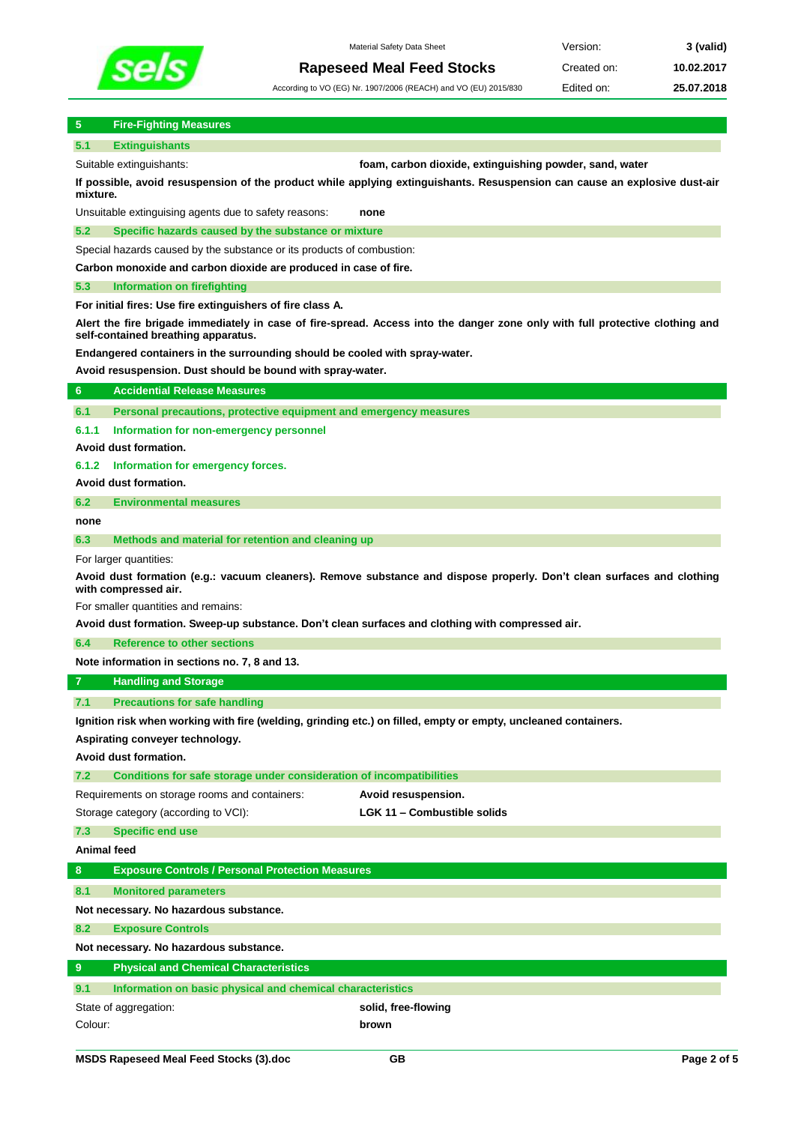

**5 Fire-Fighting Measures**

**5.1 Extinguishants**

Material Safety Data Sheet **1988 Version: 3 (valid)** 

**Rapeseed Meal Feed Stocks** Created on: 10.02.2017 According to VO (EG) Nr. 1907/2006 (REACH) and VO (EU) 2015/830 Edited on: **25.07.2018**

Suitable extinguishants: **foam, carbon dioxide, extinguishing powder, sand, water If possible, avoid resuspension of the product while applying extinguishants. Resuspension can cause an explosive dust-air mixture.**

Unsuitable extinguising agents due to safety reasons: **none**

**5.2 Specific hazards caused by the substance or mixture**

Special hazards caused by the substance or its products of combustion:

**Carbon monoxide and carbon dioxide are produced in case of fire.**

# **5.3 Information on firefighting**

**For initial fires: Use fire extinguishers of fire class A.**

**Alert the fire brigade immediately in case of fire-spread. Access into the danger zone only with full protective clothing and self-contained breathing apparatus.** 

**Endangered containers in the surrounding should be cooled with spray-water.**

**Avoid resuspension. Dust should be bound with spray-water.**

| 6                                                                                                                                              | <b>Accidential Release Measures</b>                                                              |                                                                                                                |  |  |  |  |  |
|------------------------------------------------------------------------------------------------------------------------------------------------|--------------------------------------------------------------------------------------------------|----------------------------------------------------------------------------------------------------------------|--|--|--|--|--|
| 6.1                                                                                                                                            | Personal precautions, protective equipment and emergency measures                                |                                                                                                                |  |  |  |  |  |
| 6.1.1                                                                                                                                          | Information for non-emergency personnel                                                          |                                                                                                                |  |  |  |  |  |
|                                                                                                                                                | Avoid dust formation.                                                                            |                                                                                                                |  |  |  |  |  |
| 6.1.2                                                                                                                                          | Information for emergency forces.                                                                |                                                                                                                |  |  |  |  |  |
|                                                                                                                                                | Avoid dust formation.                                                                            |                                                                                                                |  |  |  |  |  |
| 6.2                                                                                                                                            | <b>Environmental measures</b>                                                                    |                                                                                                                |  |  |  |  |  |
| none                                                                                                                                           |                                                                                                  |                                                                                                                |  |  |  |  |  |
| 6.3                                                                                                                                            | Methods and material for retention and cleaning up                                               |                                                                                                                |  |  |  |  |  |
|                                                                                                                                                | For larger quantities:                                                                           |                                                                                                                |  |  |  |  |  |
| Avoid dust formation (e.g.: vacuum cleaners). Remove substance and dispose properly. Don't clean surfaces and clothing<br>with compressed air. |                                                                                                  |                                                                                                                |  |  |  |  |  |
|                                                                                                                                                | For smaller quantities and remains:                                                              |                                                                                                                |  |  |  |  |  |
|                                                                                                                                                | Avoid dust formation. Sweep-up substance. Don't clean surfaces and clothing with compressed air. |                                                                                                                |  |  |  |  |  |
| 6.4                                                                                                                                            | <b>Reference to other sections</b>                                                               |                                                                                                                |  |  |  |  |  |
|                                                                                                                                                | Note information in sections no. 7, 8 and 13.                                                    |                                                                                                                |  |  |  |  |  |
| $\overline{7}$                                                                                                                                 | <b>Handling and Storage</b>                                                                      |                                                                                                                |  |  |  |  |  |
| 7.1                                                                                                                                            | <b>Precautions for safe handling</b>                                                             |                                                                                                                |  |  |  |  |  |
|                                                                                                                                                |                                                                                                  | Ignition risk when working with fire (welding, grinding etc.) on filled, empty or empty, uncleaned containers. |  |  |  |  |  |
|                                                                                                                                                | Aspirating conveyer technology.                                                                  |                                                                                                                |  |  |  |  |  |
|                                                                                                                                                | Avoid dust formation.                                                                            |                                                                                                                |  |  |  |  |  |
| 7.2                                                                                                                                            | Conditions for safe storage under consideration of incompatibilities                             |                                                                                                                |  |  |  |  |  |
|                                                                                                                                                | Requirements on storage rooms and containers:                                                    | Avoid resuspension.                                                                                            |  |  |  |  |  |
|                                                                                                                                                |                                                                                                  |                                                                                                                |  |  |  |  |  |
|                                                                                                                                                | Storage category (according to VCI):                                                             | LGK 11 - Combustible solids                                                                                    |  |  |  |  |  |
| 7.3                                                                                                                                            | <b>Specific end use</b>                                                                          |                                                                                                                |  |  |  |  |  |
| Animal feed                                                                                                                                    |                                                                                                  |                                                                                                                |  |  |  |  |  |
| 8                                                                                                                                              | <b>Exposure Controls / Personal Protection Measures</b>                                          |                                                                                                                |  |  |  |  |  |
| 8.1                                                                                                                                            | <b>Monitored parameters</b>                                                                      |                                                                                                                |  |  |  |  |  |
|                                                                                                                                                | Not necessary. No hazardous substance.                                                           |                                                                                                                |  |  |  |  |  |
| 8.2                                                                                                                                            | <b>Exposure Controls</b>                                                                         |                                                                                                                |  |  |  |  |  |
|                                                                                                                                                | Not necessary. No hazardous substance.                                                           |                                                                                                                |  |  |  |  |  |
| $9^{\circ}$                                                                                                                                    | <b>Physical and Chemical Characteristics</b>                                                     |                                                                                                                |  |  |  |  |  |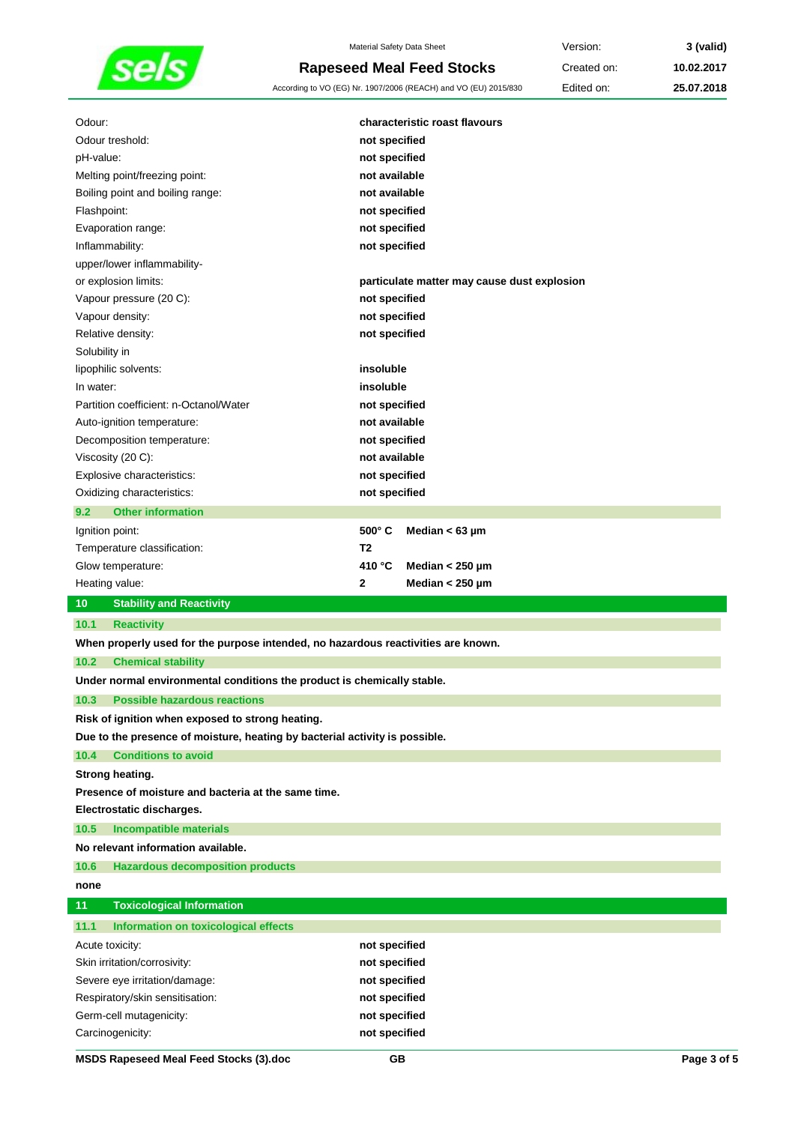

Material Safety Data Sheet **Version: 3** (valid) **Rapeseed Meal Feed Stocks** Created on: **10.02.2017**

According to VO (EG) Nr. 1907/2006 (REACH) and VO (EU) 2015/830 Edited on: **25.07.2018**

| Odour:                                                                            |                | characteristic roast flavours               |  |  |
|-----------------------------------------------------------------------------------|----------------|---------------------------------------------|--|--|
| Odour treshold:                                                                   |                | not specified                               |  |  |
| pH-value:                                                                         |                | not specified                               |  |  |
| Melting point/freezing point:                                                     |                | not available                               |  |  |
| Boiling point and boiling range:                                                  |                | not available                               |  |  |
| Flashpoint:                                                                       |                | not specified                               |  |  |
| Evaporation range:                                                                |                | not specified                               |  |  |
| Inflammability:                                                                   |                | not specified                               |  |  |
| upper/lower inflammability-                                                       |                |                                             |  |  |
| or explosion limits:                                                              |                | particulate matter may cause dust explosion |  |  |
| Vapour pressure (20 C):                                                           |                | not specified                               |  |  |
| Vapour density:                                                                   |                | not specified                               |  |  |
| Relative density:                                                                 | not specified  |                                             |  |  |
| Solubility in                                                                     |                |                                             |  |  |
| lipophilic solvents:                                                              |                | insoluble                                   |  |  |
| In water:                                                                         | insoluble      |                                             |  |  |
| Partition coefficient: n-Octanol/Water                                            | not specified  |                                             |  |  |
| Auto-ignition temperature:                                                        | not available  |                                             |  |  |
| Decomposition temperature:                                                        | not specified  |                                             |  |  |
| Viscosity (20 C):                                                                 |                | not available                               |  |  |
| Explosive characteristics:                                                        |                | not specified                               |  |  |
| Oxidizing characteristics:                                                        | not specified  |                                             |  |  |
| 9.2<br><b>Other information</b>                                                   |                |                                             |  |  |
| Ignition point:                                                                   | $500^\circ$ C  | Median $< 63 \mu m$                         |  |  |
| Temperature classification:                                                       | T <sub>2</sub> |                                             |  |  |
| Glow temperature:                                                                 | 410 °C         | Median $< 250 \mu m$                        |  |  |
| Heating value:                                                                    | 2              | Median $< 250$ µm                           |  |  |
| 10<br><b>Stability and Reactivity</b>                                             |                |                                             |  |  |
| 10.1<br><b>Reactivity</b>                                                         |                |                                             |  |  |
| When properly used for the purpose intended, no hazardous reactivities are known. |                |                                             |  |  |
| 10.2<br><b>Chemical stability</b>                                                 |                |                                             |  |  |
| Under normal environmental conditions the product is chemically stable.           |                |                                             |  |  |
| 10.3 Possible hazardous reactions                                                 |                |                                             |  |  |
| Risk of ignition when exposed to strong heating.                                  |                |                                             |  |  |
| Due to the presence of moisture, heating by bacterial activity is possible.       |                |                                             |  |  |
| <b>Conditions to avoid</b><br>10.4                                                |                |                                             |  |  |
| Strong heating.                                                                   |                |                                             |  |  |
| Presence of moisture and bacteria at the same time.                               |                |                                             |  |  |
| Electrostatic discharges.                                                         |                |                                             |  |  |
|                                                                                   |                |                                             |  |  |
|                                                                                   |                |                                             |  |  |
| 10.5<br><b>Incompatible materials</b>                                             |                |                                             |  |  |
| No relevant information available.                                                |                |                                             |  |  |
| 10.6<br><b>Hazardous decomposition products</b>                                   |                |                                             |  |  |
| none                                                                              |                |                                             |  |  |
| 11<br><b>Toxicological Information</b>                                            |                |                                             |  |  |
| 11.1<br>Information on toxicological effects                                      |                |                                             |  |  |
| Acute toxicity:                                                                   | not specified  |                                             |  |  |
| Skin irritation/corrosivity:                                                      | not specified  |                                             |  |  |
| Severe eye irritation/damage:                                                     | not specified  |                                             |  |  |
| Respiratory/skin sensitisation:                                                   | not specified  |                                             |  |  |
| Germ-cell mutagenicity:                                                           | not specified  |                                             |  |  |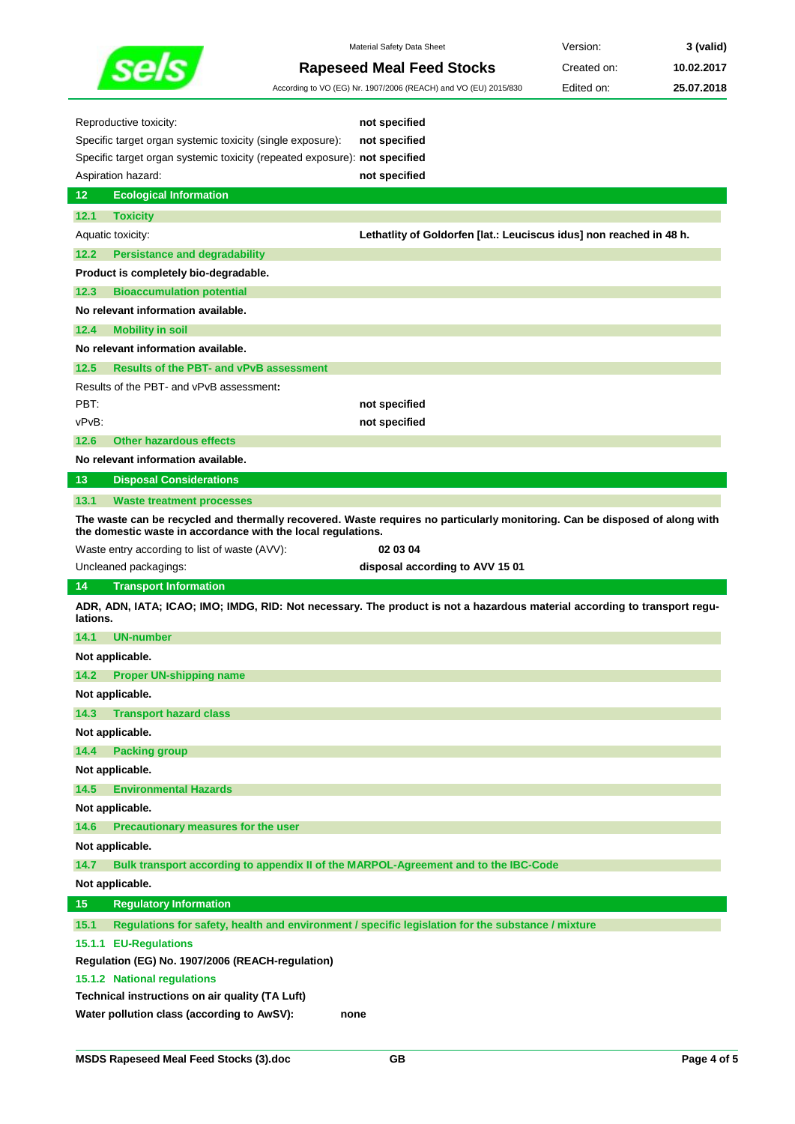

Material Safety Data Sheet **Version: 3** (valid) **Rapeseed Meal Feed Stocks** Created on: **10.02.2017**

|                                                                            |                                                | According to VO (EG) Nr. 1907/2006 (REACH) and VO (EU) 2015/830                                                             | Edited on: | 25.07.2018 |
|----------------------------------------------------------------------------|------------------------------------------------|-----------------------------------------------------------------------------------------------------------------------------|------------|------------|
| Reproductive toxicity:                                                     |                                                | not specified                                                                                                               |            |            |
| Specific target organ systemic toxicity (single exposure):                 |                                                | not specified                                                                                                               |            |            |
| Specific target organ systemic toxicity (repeated exposure): not specified |                                                |                                                                                                                             |            |            |
| Aspiration hazard:                                                         |                                                | not specified                                                                                                               |            |            |
| 12<br><b>Ecological Information</b>                                        |                                                |                                                                                                                             |            |            |
| 12.1<br><b>Toxicity</b>                                                    |                                                |                                                                                                                             |            |            |
| Aquatic toxicity:                                                          |                                                | Lethatlity of Goldorfen [lat.: Leuciscus idus] non reached in 48 h.                                                         |            |            |
| <b>Persistance and degradability</b><br>12.2                               |                                                |                                                                                                                             |            |            |
| Product is completely bio-degradable.                                      |                                                |                                                                                                                             |            |            |
| 12.3<br><b>Bioaccumulation potential</b>                                   |                                                |                                                                                                                             |            |            |
| No relevant information available.                                         |                                                |                                                                                                                             |            |            |
| <b>Mobility in soil</b><br>12.4                                            |                                                |                                                                                                                             |            |            |
| No relevant information available.                                         |                                                |                                                                                                                             |            |            |
| 12.5                                                                       | <b>Results of the PBT- and vPvB assessment</b> |                                                                                                                             |            |            |
| Results of the PBT- and vPvB assessment:                                   |                                                |                                                                                                                             |            |            |
| PBT:                                                                       |                                                | not specified                                                                                                               |            |            |
| vPvB:                                                                      |                                                | not specified                                                                                                               |            |            |
| <b>Other hazardous effects</b><br>12.6                                     |                                                |                                                                                                                             |            |            |
| No relevant information available.                                         |                                                |                                                                                                                             |            |            |
| <b>Disposal Considerations</b><br>13                                       |                                                |                                                                                                                             |            |            |
| 13.1<br><b>Waste treatment processes</b>                                   |                                                |                                                                                                                             |            |            |
| the domestic waste in accordance with the local regulations.               |                                                | The waste can be recycled and thermally recovered. Waste requires no particularly monitoring. Can be disposed of along with |            |            |
| Waste entry according to list of waste (AVV):                              |                                                | 02 03 04                                                                                                                    |            |            |
| Uncleaned packagings:                                                      |                                                | disposal according to AVV 15 01                                                                                             |            |            |
| 14<br><b>Transport Information</b>                                         |                                                |                                                                                                                             |            |            |
| lations.                                                                   |                                                | ADR, ADN, IATA; ICAO; IMO; IMDG, RID: Not necessary. The product is not a hazardous material according to transport regu-   |            |            |
| 14.1<br><b>UN-number</b>                                                   |                                                |                                                                                                                             |            |            |
| Not applicable.                                                            |                                                |                                                                                                                             |            |            |
| 14.2<br><b>Proper UN-shipping name</b>                                     |                                                |                                                                                                                             |            |            |
| Not applicable.                                                            |                                                |                                                                                                                             |            |            |
| 14.3<br><b>Transport hazard class</b>                                      |                                                |                                                                                                                             |            |            |
| Not applicable.                                                            |                                                |                                                                                                                             |            |            |
| 14.4<br><b>Packing group</b>                                               |                                                |                                                                                                                             |            |            |
|                                                                            |                                                |                                                                                                                             |            |            |
| Not applicable.                                                            |                                                |                                                                                                                             |            |            |
| 14.5<br><b>Environmental Hazards</b>                                       |                                                |                                                                                                                             |            |            |
| Not applicable.                                                            |                                                |                                                                                                                             |            |            |
| 14.6<br>Precautionary measures for the user                                |                                                |                                                                                                                             |            |            |
| Not applicable.                                                            |                                                |                                                                                                                             |            |            |
| 14.7                                                                       |                                                | Bulk transport according to appendix II of the MARPOL-Agreement and to the IBC-Code                                         |            |            |
| Not applicable.                                                            |                                                |                                                                                                                             |            |            |
| 15<br><b>Regulatory Information</b>                                        |                                                |                                                                                                                             |            |            |
| 15.1                                                                       |                                                | Regulations for safety, health and environment / specific legislation for the substance / mixture                           |            |            |
| 15.1.1 EU-Regulations                                                      |                                                |                                                                                                                             |            |            |
| Regulation (EG) No. 1907/2006 (REACH-regulation)                           |                                                |                                                                                                                             |            |            |
| 15.1.2 National regulations                                                |                                                |                                                                                                                             |            |            |
| Technical instructions on air quality (TA Luft)                            |                                                |                                                                                                                             |            |            |